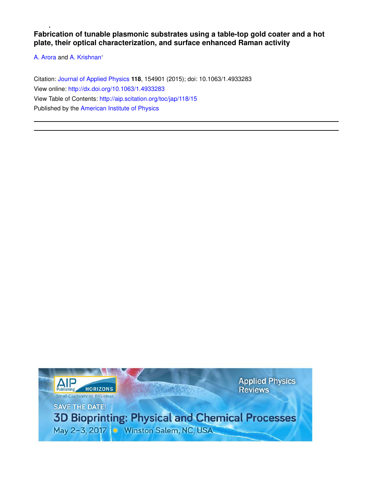**Fabrication of tunable plasmonic substrates using a table-top gold coater and a hot plate, their optical characterization, and surface enhanced Raman activity**

A. Arora and A. Krishnan'

Citation: Journal of Applied Physics **118**, 154901 (2015); doi: 10.1063/1.4933283 View online: http://dx.doi.org/10.1063/1.4933283 View Table of Contents: http://aip.scitation.org/toc/jap/118/15 Published by the American Institute of Physics

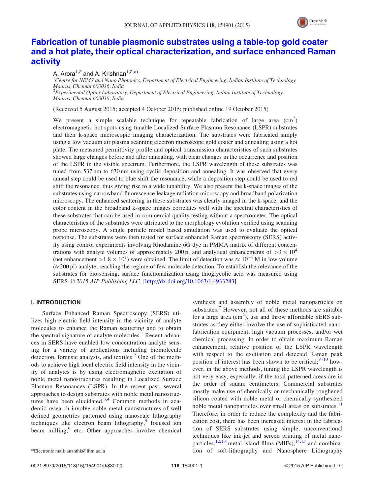

# Fabrication of tunable plasmonic substrates using a table-top gold coater and a hot plate, their optical characterization, and surface enhanced Raman activity

## A. Arora<sup>1,2</sup> and A. Krishnan<sup>1,2,a)</sup>

 ${}^{1}$ Centre for NEMS and Nano Photonics, Department of Electrical Engineering, Indian Institute of Technology Madras, Chennai 600036, India  ${}^{2}$ Experimental Optics Laboratory, Department of Electrical Engineering, Indian Institute of Technology Madras, Chennai 600036, India

(Received 5 August 2015; accepted 4 October 2015; published online 19 October 2015)

We present a simple scalable technique for repeatable fabrication of large area  $\text{(cm}^2\text{)}$ electromagnetic hot spots using tunable Localized Surface Plasmon Resonance (LSPR) substrates and their k-space microscopic imaging characterization. The substrates were fabricated simply using a low vacuum air plasma scanning electron microscope gold coater and annealing using a hot plate. The measured permittivity profile and optical transmission characteristics of such substrates showed large changes before and after annealing, with clear changes in the occurrence and position of the LSPR in the visible spectrum. Furthermore, the LSPR wavelength of these substrates was tuned from 537 nm to 630 nm using cyclic deposition and annealing. It was observed that every anneal step could be used to blue shift the resonance, while a deposition step could be used to red shift the resonance, thus giving rise to a wide tunability. We also present the k-space images of the substrates using narrowband fluorescence leakage radiation microscopy and broadband polarization microscopy. The enhanced scattering in these substrates was clearly imaged in the k-space, and the color content in the broadband k-space images correlates well with the spectral characteristics of these substrates that can be used in commercial quality testing without a spectrometer. The optical characteristics of the substrates were attributed to the morphology evolution verified using scanning probe microscopy. A single particle model based simulation was used to evaluate the optical response. The substrates were then tested for surface enhanced Raman spectroscopy (SERS) activity using control experiments involving Rhodamine 6G dye in PMMA matrix of different concentrations with analyte volumes of approximately 200 pl and analytical enhancements of  $>3 \times 10^4$ (net enhancement >1.8  $\times$  10<sup>7</sup>) were obtained. The limit of detection was  $\approx 10^{-8}$  M in low volume  $(\approx 200 \text{ pl})$  analyte, reaching the regime of few molecule detection. To establish the relevance of the substrates for bio-sensing, surface functionalization using thioglycolic acid was measured using SERS.  $\odot$  2015 AIP Publishing LLC. [http://dx.doi.org/10.1063/1.4933283]

## I. INTRODUCTION

Surface Enhanced Raman Spectroscopy (SERS) utilizes high electric field intensity in the vicinity of analyte molecules to enhance the Raman scattering and to obtain the spectral signature of analyte molecules.<sup>1</sup> Recent advances in SERS have enabled low concentration analyte sensing for a variety of applications including biomolecule detection, forensic analysis, and textiles. $^{2}$  One of the methods to achieve high local electric field intensity in the vicinity of analytes is by using electromagnetic excitation of noble metal nanostructures resulting in Localized Surface Plasmon Resonances (LSPR). In the recent past, several approaches to design substrates with noble metal nanostructures have been elucidated. $3,4$  Common methods in academic research involve noble metal nanostructures of well defined geometries patterned using nanoscale lithography techniques like electron beam lithography,<sup>5</sup> focused ion beam milling,<sup>6</sup> etc. Other approaches involve chemical

synthesis and assembly of noble metal nanoparticles on substrates.<sup>7</sup> However, not all of these methods are suitable for a large area  $(cm<sup>2</sup>)$ , use and throw affordable SERS substrates as they either involve the use of sophisticated nanofabrication equipment, high vacuum processes, and/or wet chemical processing. In order to obtain maximum Raman enhancement, relative position of the LSPR wavelength with respect to the excitation and detected Raman peak position of interest has been shown to be critical; $8-10$  however, in the above methods, tuning the LSPR wavelength is not very easy, especially, if the total patterned areas are in the order of square centimeters. Commercial substrates mostly make use of chemically or mechanically roughened silicon coated with noble metal or chemically synthesized noble metal nanoparticles over small areas on substrates.<sup>11</sup> Therefore, in order to reduce the complexity and the fabrication cost, there has been increased interest in the fabrication of SERS substrates using simple, unconventional techniques like ink-jet and screen printing of metal nanoparticles,  $^{12,13}$  metal island films (MIFs),  $^{14,15}$  and combinaa)Electronic mail: ananthk@iitm.ac.in **but all ananthk@iitm.ac.in** tion of soft-lithography and Nanosphere Lithography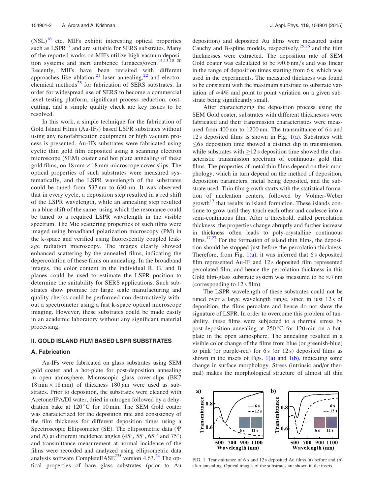$(NSL)^{16}$  etc. MIFs exhibit interesting optical properties such as  $LSPR<sup>17</sup>$  and are suitable for SERS substrates. Many of the reported works on MIFs utilize high vacuum deposition systems and inert ambience furnaces/oven. $14,15,18-20$ Recently, MIFs have been revisited with different approaches like ablation,<sup>21</sup> laser annealing,<sup>22</sup> and electrochemical methods $^{23}$  for fabrication of SERS substrates. In order for widespread use of SERS to become a commercial level testing platform, significant process reduction, costcutting, and a simple quality check are key issues to be resolved.

In this work, a simple technique for the fabrication of Gold Island Films (Au-IFs) based LSPR substrates without using any nanofabrication equipment or high vacuum process is presented. Au-IFs substrates were fabricated using cyclic thin gold film deposited using a scanning electron microscope (SEM) coater and hot plate annealing of these gold films, on  $18 \text{ mm} \times 18 \text{ mm}$  microscope cover slips. The optical properties of such substrates were measured systematically, and the LSPR wavelength of the substrates could be tuned from 537 nm to 630 nm. It was observed that in every cycle, a deposition step resulted in a red shift of the LSPR wavelength, while an annealing step resulted in a blue shift of the same, using which the resonance could be tuned to a required LSPR wavelength in the visible spectrum. The Mie scattering properties of such films were imaged using broadband polarization microscopy (PM) in the k-space and verified using fluorescently coupled leakage radiation microscopy. The images clearly showed enhanced scattering by the annealed films, indicating the depercolation of these films on annealing. In the broadband images, the color content in the individual R, G, and B planes could be used to estimate the LSPR position to determine the suitability for SERS applications. Such substrates show promise for large scale manufacturing and quality checks could be performed non-destructively without a spectrometer using a fast k-space optical microscope imaging. However, these substrates could be made easily in an academic laboratory without any significant material processing.

#### II. GOLD ISLAND FILM BASED LSPR SUBSTRATES

#### A. Fabrication

Au-IFs were fabricated on glass substrates using SEM gold coater and a hot-plate for post-deposition annealing in open atmosphere. Microscopic glass cover-slips (BK7  $18 \text{ mm} \times 18 \text{ mm}$ ) of thickness  $180 \mu \text{m}$  were used as substrates. Prior to deposition, the substrates were cleaned with Acetone/IPA/DI water, dried in nitrogen followed by a dehydration bake at  $120\,^{\circ}\text{C}$  for 10 min. The SEM Gold coater was characterized for the deposition rate and consistency of the film thickness for different deposition times using a Spectroscopic Ellipsometer (SE). The ellipsometric data (W and  $\Delta$ ) at different incidence angles (45°, 55°, 65,° and 75°) and transmittance measurement at normal incidence of the films were recorded and analyzed using ellipsometric data analysis software CompleteEASE<sup>TM</sup> version 4.63.<sup>24</sup> The optical properties of bare glass substrates (prior to Au

deposition) and deposited Au films were measured using Cauchy and B-spline models, respectively,  $25,26$  and the film thicknesses were extracted. The deposition rate of SEM Gold coater was calculated to be  $\approx 0.6$  nm/s and was linear in the range of deposition times starting from 6 s, which was used in the experiments. The measured thickness was found to be consistent with the maximum substrate to substrate variation of  $\approx 4\%$  and point to point variation on a given substrate being significantly small.

After characterizing the deposition process using the SEM Gold coater, substrates with different thicknesses were fabricated and their transmission characteristics were measured from 400 nm to 1200 nm. The transmittance of 6 s and 12 s deposited films is shown in Fig.  $1(a)$ . Substrates with  $\leq$ 6 s deposition time showed a distinct dip in transmission, while substrates with  $\geq 12$  s deposition time showed the characteristic transmission spectrum of continuous gold thin films. The properties of metal thin films depend on their morphology, which in turn depend on the method of deposition, deposition parameters, metal being deposited, and the substrate used. Thin film growth starts with the statistical formation of nucleation centers, followed by Volmer-Weber growth $17$  that results in island formation. These islands continue to grow until they touch each other and coalesce into a semi-continuous film. After a threshold, called percolation thickness, the properties change abruptly and further increase in thickness often leads to poly-crystalline continuous films.<sup>17,27</sup> For the formation of island thin films, the deposition should be stopped just before the percolation thickness. Therefore, from Fig.  $1(a)$ , it was inferred that 6 s deposited film represented Au-IF and 12 s deposited film represented percolated film, and hence the percolation thickness in this Gold film-glass substrate system was measured to be  $\approx$ 7 nm (corresponding to 12 s film).

The LSPR wavelength of these substrates could not be tuned over a large wavelength range, since in just 12 s of deposition, the films percolate and hence do not show the signature of LSPR. In order to overcome this problem of tunability, these films were subjected to a thermal stress by post-deposition annealing at  $250^{\circ}$ C for 120 min on a hotplate in the open atmosphere. The annealing resulted in a visible color change of the films from blue (or greenish-blue) to pink (or purple-red) for  $6s$  (or  $12s$ ) deposited films as shown in the insets of Figs.  $1(a)$  and  $1(b)$ , indicating some change in surface morphology. Stress (intrinsic and/or thermal) makes the morphological structure of almost all thin



FIG. 1. Transmittance of 6 s and 12 s deposited Au films (a) before and (b) after annealing. Optical images of the substrates are shown in the insets.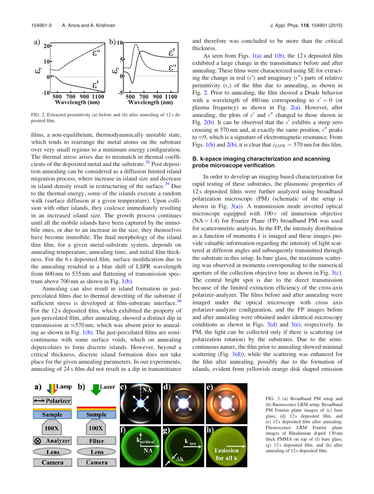

FIG. 2. Extracted permittivity (a) before and (b) after annealing of 12 s deposited film.

films, a non-equilibrium, thermodynamically unstable state, which tends to rearrange the metal atoms on the substrate over very small regions to a minimum energy configuration. The thermal stress arises due to mismatch in thermal coefficients of the deposited metal and the substrate. $^{28}$  Post deposition annealing can be considered as a diffusion limited island migration process, where increase in island size and decrease in island density result in restructuring of the surface. $29$  Due to the thermal energy, some of the islands execute a random walk (surface diffusion at a given temperature). Upon collision with other islands, they coalesce immediately resulting in an increased island size. The growth process continues until all the mobile islands have been captured by the immobile ones, or due to an increase in the size, they themselves have become immobile. The final morphology of the island thin film, for a given metal-substrate system, depends on annealing temperature, annealing time, and initial film thickness. For the 6 s deposited film, surface modification due to the annealing resulted in a blue shift of LSPR wavelength from 600 nm to 535 nm and flattening of transmission spectrum above  $700 \text{ nm}$  as shown in Fig.  $1(b)$ .

Annealing can also result in island formation in justpercolated films due to thermal dewetting of the substrate if sufficient stress is developed at film-substrate interface. $30$ For the 12 s deposited film, which exhibited the property of just-percolated film, after annealing, showed a distinct dip in transmission at  $\approx$  570 nm, which was absent prior to annealing as shown in Fig.  $1(b)$ . The just-percolated films are semicontinuous with some surface voids, which on annealing depercolates to form discrete islands. However, beyond a critical thickness, discrete island formation does not take place for the given annealing parameters. In our experiments, annealing of 24 s film did not result in a dip in transmittance

and therefore was concluded to be more than the critical thickness.

As seen from Figs.  $1(a)$  and  $1(b)$ , the 12 s deposited film exhibited a large change in the transmittance before and after annealing. These films were characterized using SE for extracting the change in real ( $\epsilon'$ ) and imaginary ( $\epsilon''$ ) parts of relative permittivity  $(\epsilon_r)$  of the film due to annealing, as shown in Fig. 2. Prior to annealing, the film showed a Drude behavior with a wavelength of 480 nm corresponding to  $\epsilon' = 0$  (or plasma frequency) as shown in Fig.  $2(a)$ . However, after annealing, the plots of  $\epsilon'$  and  $\epsilon''$  changed to those shown in Fig. 2(b). It can be observed that the  $\epsilon'$  exhibits a steep zero crossing at 570 nm and, at exactly the same position,  $\epsilon''$  peaks to  $\approx$ 9, which is a signature of electromagnetic resonance. From Figs. 1(b) and 2(b), it is clear that  $\lambda_{LSPR} = 570$  nm for this film.

## B. k-space imaging characterization and scanning probe microscope verification

In order to develop an imaging based characterization for rapid testing of these substrates, the plasmonic properties of 12 s deposited films were further analyzed using broadband polarization microscope (PM) (schematic of the setup is shown in Fig.  $3(a)$ ). A transmission mode inverted optical microscope equipped with  $100 \times$  oil immersion objective  $(NA = 1.4)$  for Fourier Plane (FP) broadband PM was used for scatterometric analysis. In the FP, the intensity distribution as a function of momenta  $k$  is imaged and these images provide valuable information regarding the intensity of light scattered at different angles and subsequently transmitted through the substrate in this setup. In bare glass, the maximum scattering was observed at momenta corresponding to the numerical aperture of the collection objective lens as shown in Fig. 3(c). The central bright spot is due to the direct transmission because of the limited extinction efficiency of the cross-axis polarizer-analyzer. The films before and after annealing were imaged under the optical microscope with cross axis polarizer-analyzer configuration, and the FP images before and after annealing were obtained under identical microscopy conditions as shown in Figs.  $3(d)$  and  $3(e)$ , respectively. In PM, the light can be collected only if there is scattering (or polarization rotation) by the substrates. Due to the semicontinuous nature, the film prior to annealing showed minimal scattering (Fig.  $3(d)$ ), while the scattering was enhanced for the film after annealing, possibly due to the formation of islands, evident from yellowish orange disk shaped emission



FIG. 3. (a) Broadband PM setup and (b) fluorescence LRM setup. Broadband PM Fourier plane images of (c) bare glass, (d) 12 s deposited film, and (e) 12 s deposited film after annealing. Fluorescence LRM Fourier plane images of Rhodamine doped 130 nm thick PMMA on top of (f) bare glass, (g) 12 s deposited film, and (h) after annealing of 12 s deposited film.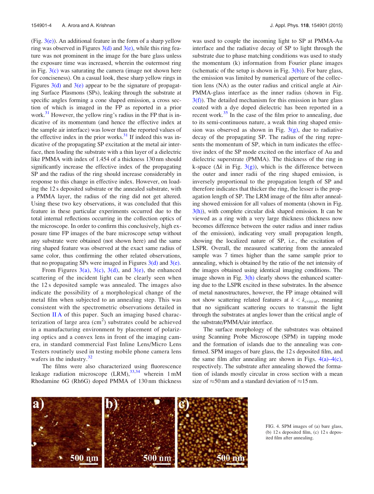(Fig.  $3(e)$ ). An additional feature in the form of a sharp yellow ring was observed in Figures  $3(d)$  and  $3(e)$ , while this ring feature was not prominent in the image for the bare glass unless the exposure time was increased, wherein the outermost ring in Fig.  $3(c)$  was saturating the camera (image not shown here for conciseness). On a casual look, these sharp yellow rings in Figures  $3(d)$  and  $3(e)$  appear to be the signature of propagating Surface Plasmons (SPs), leaking through the substrate at specific angles forming a cone shaped emission, a cross section of which is imaged in the FP as reported in a prior work.<sup>31</sup> However, the yellow ring's radius in the FP that is indicative of its momentum (and hence the effective index at the sample air interface) was lower than the reported values of the effective index in the prior works. $31$  If indeed this was indicative of the propagating SP excitation at the metal air interface, then loading the substrate with a thin layer of a dielectric like PMMA with index of 1.454 of a thickness 130 nm should significantly increase the effective index of the propagating SP and the radius of the ring should increase considerably in response to this change in effective index. However, on loading the 12 s deposited substrate or the annealed substrate, with a PMMA layer, the radius of the ring did not get altered. Using these two key observations, it was concluded that this feature in these particular experiments occurred due to the total internal reflections occurring in the collection optics of the microscope. In order to confirm this conclusively, high exposure time FP images of the bare microscope setup without any substrate were obtained (not shown here) and the same ring shaped feature was observed at the exact same radius of same color, thus confirming the other related observations, that no propagating SPs were imaged in Figures  $3(d)$  and  $3(e)$ .

From Figures 3(a), 3(c), 3(d), and 3(e), the enhanced scattering of the incident light can be clearly seen when the 12 s deposited sample was annealed. The images also indicate the possibility of a morphological change of the metal film when subjected to an annealing step. This was consistent with the spectrometric observations detailed in Section II A of this paper. Such an imaging based characterization of large area  $(cm<sup>2</sup>)$  substrates could be achieved in a manufacturing environment by placement of polarizing optics and a convex lens in front of the imaging camera, in standard commercial Fast Inline Lens/Micro Lens Testers routinely used in testing mobile phone camera lens wafers in the industry. $32$ 

The films were also characterized using fluorescence leakage radiation microscope  $(LRM)$ ,  $33,34$  wherein 1 mM Rhodamine 6G (Rh6G) doped PMMA of 130 nm thickness was used to couple the incoming light to SP at PMMA-Au interface and the radiative decay of SP to light through the substrate due to phase matching conditions was used to study the momentum (k) information from Fourier plane images (schematic of the setup is shown in Fig.  $3(b)$ ). For bare glass, the emission was limited by numerical aperture of the collection lens (NA) as the outer radius and critical angle at Air-PMMA-glass interface as the inner radius (shown in Fig.  $3(f)$ ). The detailed mechanism for this emission in bare glass coated with a dye doped dielectric has been reported in a recent work. $35$  In the case of the film prior to annealing, due to its semi-continuous nature, a weak thin ring shaped emission was observed as shown in Fig.  $3(g)$ , due to radiative decay of the propagating SP. The radius of the ring represents the momentum of SP, which in turn indicates the effective index of the SP mode excited on the interface of Au and dielectric superstrate (PMMA). The thickness of the ring in k-space ( $\Delta k$  in Fig. 3(g)), which is the difference between the outer and inner radii of the ring shaped emission, is inversely proportional to the propagation length of SP and therefore indicates that thicker the ring, the lesser is the propagation length of SP. The LRM image of the film after annealing showed emission for all values of momenta (shown in Fig.  $3(h)$ ), with complete circular disk shaped emission. It can be viewed as a ring with a very large thickness (thickness now becomes difference between the outer radius and inner radius of the emission), indicating very small propagation length, showing the localized nature of SP, i.e., the excitation of LSPR. Overall, the measured scattering from the annealed sample was 7 times higher than the same sample prior to annealing, which is obtained by the ratio of the net intensity of the images obtained using identical imaging conditions. The image shown in Fig.  $3(h)$  clearly shows the enhanced scattering due to the LSPR excited in these substrates. In the absence of metal nanostructures, however, the FP image obtained will not show scattering related features at  $k < k_{critical}$ , meaning that no significant scattering occurs to transmit the light through the substrates at angles lower than the critical angle of the substrate/PMMA/air interface.

The surface morphology of the substrates was obtained using Scanning Probe Microscope (SPM) in tapping mode and the formation of islands due to the annealing was confirmed. SPM images of bare glass, the 12 s deposited film, and the same film after annealing are shown in Figs.  $4(a) - 4(c)$ , respectively. The substrate after annealing showed the formation of islands mostly circular in cross section with a mean size of  $\approx$  50 nm and a standard deviation of  $\approx$  15 nm.



FIG. 4. SPM images of (a) bare glass, (b) 12 s deposited film, (c) 12 s deposited film after annealing.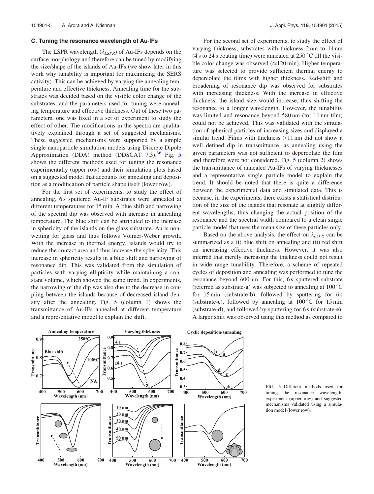#### C. Tuning the resonance wavelength of Au-IFs

The LSPR wavelength  $(\lambda_{LSPR})$  of Au-IFs depends on the surface morphology and therefore can be tuned by modifying the size/shape of the islands of Au-IFs (we show later in this work why tunability is important for maximizing the SERS activity). This can be achieved by varying the annealing temperature and effective thickness. Annealing time for the substrates was decided based on the visible color change of the substrates, and the parameters used for tuning were annealing temperature and effective thickness. Out of these two parameters, one was fixed in a set of experiment to study the effect of other. The modifications in the spectra are qualitatively explained through a set of suggested mechanisms. These suggested mechanisms were supported by a simple single nanoparticle simulation models using Discrete Dipole Approximation (DDA) method (DDSCAT 7.3).<sup>36</sup> Fig. 5 shows the different methods used for tuning the resonance experimentally (upper row) and their simulation plots based on a suggested model that accounts for annealing and deposition as a modification of particle shape itself (lower row).

For the first set of experiments, to study the effect of annealing, 6 s sputtered Au-IF substrates were annealed at different temperatures for 15 min. A blue shift and narrowing of the spectral dip was observed with increase in annealing temperature. The blue shift can be attributed to the increase in sphericity of the islands on the glass substrate. Au is nonwetting for glass and thus follows Volmer-Weber growth. With the increase in thermal energy, islands would try to reduce the contact area and thus increase the sphericity. This increase in sphericity results in a blue shift and narrowing of resonance dip. This was validated from the simulation of particles with varying ellipticity while maintaining a constant volume, which showed the same trend. In experiments, the narrowing of the dip was also due to the decrease in coupling between the islands because of decreased island density after the annealing. Fig. 5 (column 1) shows the transmittance of Au-IFs annealed at different temperature and a representative model to explain the shift.

For the second set of experiments, to study the effect of varying thickness, substrates with thickness 2 nm to 14 nm (4 s to 24 s coating time) were annealed at  $250^{\circ}$ C till the visible color change was observed  $(\approx 120 \text{ min})$ . Higher temperature was selected to provide sufficient thermal energy to depercolate the films with higher thickness. Red-shift and broadening of resonance dip was observed for substrates with increasing thickness. With the increase in effective thickness, the island size would increase, thus shifting the resonance to a longer wavelength. However, the tunability was limited and resonance beyond 580 nm (for 11 nm film) could not be achieved. This was validated with the simulation of spherical particles of increasing sizes and displayed a similar trend. Films with thickness >11 nm did not show a well defined dip in transmittance, as annealing using the given parameters was not sufficient to depercolate the film and therefore were not considered. Fig. 5 (column 2) shows the transmittance of annealed Au-IFs of varying thicknesses and a representative single particle model to explain the trend. It should be noted that there is quite a difference between the experimental data and simulated data. This is because, in the experiments, there exists a statistical distribution of the size of the islands that resonate at slightly different wavelengths, thus changing the actual position of the resonance and the spectral width compared to a clean single particle model that uses the mean size of these particles only.

Based on the above analysis, the effect on  $\lambda_{LSPR}$  can be summarized as a (i) blue shift on annealing and (ii) red shift on increasing effective thickness. However, it was also inferred that merely increasing the thickness could not result in wide range tunability. Therefore, a scheme of repeated cycles of deposition and annealing was performed to tune the resonance beyond 600 nm. For this, 6 s sputtered substrate (referred as substrate-a) was subjected to annealing at  $100^{\circ}$ C for 15 min (substrate-b), followed by sputtering for 6 s (substrate-c), followed by annealing at  $100^{\circ}$ C for 15 min (substrate-d), and followed by sputtering for 6 s (substrate-e). A larger shift was observed using this method as compared to



FIG. 5. Different methods used for tuning the resonance wavelength: experiment (upper row) and suggested mechanisms validated using a simulation model (lower row).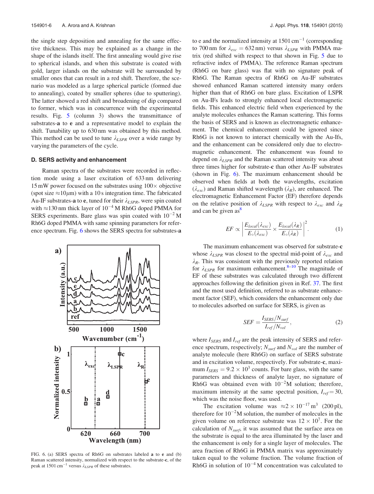the single step deposition and annealing for the same effective thickness. This may be explained as a change in the shape of the islands itself. The first annealing would give rise to spherical islands, and when this substrate is coated with gold, larger islands on the substrate will be surrounded by smaller ones that can result in a red shift. Therefore, the scenario was modeled as a large spherical particle (formed due to annealing), coated by smaller spheres (due to sputtering). The latter showed a red shift and broadening of dip compared to former, which was in concurrence with the experimental results. Fig. 5 (column 3) shows the transmittance of substrates-a to e and a representative model to explain the shift. Tunability up to 630 nm was obtained by this method. This method can be used to tune  $\lambda_{LSPR}$  over a wide range by varying the parameters of the cycle.

#### D. SERS activity and enhancement

Raman spectra of the substrates were recorded in reflection mode using a laser excitation of 633 nm delivering  $15 \text{ mW}$  power focused on the substrates using  $100 \times$  objective (spot size  $\approx$ 10 $\mu$ m) with a 10 s integration time. The fabricated Au-IF substrates-a to e, tuned for their  $\lambda_{LSPR}$ , were spin coated with  $\approx$ 130 nm thick layer of 10<sup>-4</sup> M Rh6G doped PMMA for SERS experiments. Bare glass was spin coated with  $10^{-2}$  M Rh6G doped PMMA with same spinning parameters for reference spectrum. Fig. 6 shows the SERS spectra for substrates-a



FIG. 6. (a) SERS spectra of Rh6G on substrates labeled a to e and (b) Raman scattered intensity, normalized with respect to the substrate-c, of the peak at 1501 cm<sup>-1</sup> versus  $\lambda_{LSPR}$  of these substrates.

to e and the normalized intensity at  $1501 \text{ cm}^{-1}$  (corresponding to 700 nm for  $\lambda_{exc} = 632$  nm) versus  $\lambda_{LSPR}$  with PMMA matrix (red shifted with respect to that shown in Fig. 5 due to refractive index of PMMA). The reference Raman spectrum (Rh6G on bare glass) was flat with no signature peak of Rh6G. The Raman spectra of Rh6G on Au-IF substrates showed enhanced Raman scattered intensity many orders higher than that of Rh6G on bare glass. Excitation of LSPR on Au-IFs leads to strongly enhanced local electromagnetic fields. This enhanced electric field when experienced by the analyte molecules enhances the Raman scattering. This forms the basis of SERS and is known as electromagnetic enhancement. The chemical enhancement could be ignored since Rh6G is not known to interact chemically with the Au-Ifs, and the enhancement can be considered only due to electromagnetic enhancement. The enhancement was found to depend on  $\lambda_{LSPR}$  and the Raman scattered intensity was about three times higher for substrate-c than other Au-IF substrates (shown in Fig. 6). The maximum enhancement should be observed when fields at both the wavelengths, excitation  $(\lambda_{exc})$  and Raman shifted wavelength  $(\lambda_R)$ , are enhanced. The electromagnetic Enhancement Factor (EF) therefore depends on the relative position of  $\lambda_{LSPR}$  with respect to  $\lambda_{exc}$  and  $\lambda_R$ and can be given  $as^8$ 

$$
EF \propto \left| \frac{E_{local}(\lambda_{exc})}{E_{\circ}(\lambda_{exc})} \times \frac{E_{local}(\lambda_R)}{E_{\circ}(\lambda_R)} \right|^2.
$$
 (1)

The maximum enhancement was observed for substrate-c whose  $\lambda_{LSPR}$  was closest to the spectral mid-point of  $\lambda_{exc}$  and  $\lambda_R$ . This was consistent with the previously reported relation for  $\lambda_{LSPR}$  for maximum enhancement.<sup>8–10</sup> The magnitude of EF of these substrates was calculated through two different approaches following the definition given in Ref. 37. The first and the most used definition, referred to as substrate enhancement factor (SEF), which considers the enhancement only due to molecules adsorbed on surface for SERS, is given as

$$
SEF = \frac{I_{SERS}/N_{surf}}{I_{ref}/N_{vol}},
$$
\n(2)

where  $I_{SERS}$  and  $I_{ref}$  are the peak intensity of SERS and reference spectrum, respectively;  $N_{surf}$  and  $N_{vol}$  are the number of analyte molecule (here Rh6G) on surface of SERS substrate and in excitation volume, respectively. For substrate-c, maximum  $I_{SERS} = 9.2 \times 10^3$  counts. For bare glass, with the same parameters and thickness of analyte layer, no signature of Rh6G was obtained even with  $10^{-2}$ M solution; therefore, maximum intensity at the same spectral position,  $I_{ref} = 30$ , which was the noise floor, was used.

The excitation volume was  $\approx 2 \times 10^{-17}$  m<sup>3</sup> (200 pl), therefore for  $10^{-2}$ M solution, the number of molecules in the given volume on reference substrate was  $12 \times 10^7$ . For the calculation of  $N_{surf}$ , it was assumed that the surface area on the substrate is equal to the area illuminated by the laser and the enhancement is only for a single layer of molecules. The area fraction of Rh6G in PMMA matrix was approximately taken equal to the volume fraction. The volume fraction of Rh6G in solution of  $10^{-4}$  M concentration was calculated to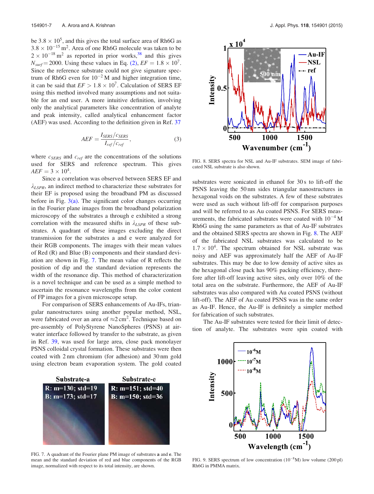be  $3.8 \times 10^5$ , and this gives the total surface area of Rh6G as  $3.8 \times 10^{-15}$  m<sup>2</sup>. Area of one Rh6G molecule was taken to be  $2 \times 10^{-18}$  m<sup>2</sup> as reported in prior works,<sup>38</sup> and this gives  $N_{surf} = 2000$ . Using these values in Eq. (2),  $EF = 1.8 \times 10^7$ . Since the reference substrate could not give signature spectrum of Rh6G even for  $10^{-2}$  M and higher integration time, it can be said that  $EF > 1.8 \times 10^7$ . Calculation of SERS EF using this method involved many assumptions and not suitable for an end user. A more intuitive definition, involving only the analytical parameters like concentration of analyte and peak intensity, called analytical enhancement factor (AEF) was used. According to the definition given in Ref. 37

$$
AEF = \frac{I_{SERS}/c_{SERS}}{I_{ref}/c_{ref}},\tag{3}
$$

where  $c_{SERS}$  and  $c_{ref}$  are the concentrations of the solutions used for SERS and reference spectrum. This gives  $AEF = 3 \times 10^4$ .

Since a correlation was observed between SERS EF and  $\lambda_{LSPR}$ , an indirect method to characterize these substrates for their EF is proposed using the broadband PM as discussed before in Fig.  $3(a)$ . The significant color changes occurring in the Fourier plane images from the broadband polarization microscopy of the substrates a through e exhibited a strong correlation with the measured shifts in  $\lambda_{LSPR}$  of these substrates. A quadrant of these images excluding the direct transmission for the substrates a and e were analyzed for their RGB components. The images with their mean values of Red (R) and Blue (B) components and their standard deviation are shown in Fig. 7. The mean value of R reflects the position of dip and the standard deviation represents the width of the resonance dip. This method of characterization is a novel technique and can be used as a simple method to ascertain the resonance wavelengths from the color content of FP images for a given microscope setup.

For comparison of SERS enhancements of Au-IFs, triangular nanostructures using another popular method, NSL, were fabricated over an area of  $\approx 2$  cm<sup>2</sup>. Technique based on pre-assembly of PolyStyrene NanoSpheres (PSNS) at airwater interface followed by transfer to the substrate, as given in Ref. 39, was used for large area, close pack monolayer PSNS colloidal crystal formation. These substrates were then coated with 2 nm chromium (for adhesion) and 30 nm gold using electron beam evaporation system. The gold coated



FIG. 8. SERS spectra for NSL and Au-IF substrates. SEM image of fabricated NSL substrate is also shown.

substrates were sonicated in ethanol for 30 s to lift-off the PSNS leaving the 50 nm sides triangular nanostructures in hexagonal voids on the substrates. A few of these substrates were used as such without lift-off for comparison purposes and will be referred to as Au coated PSNS. For SERS measurements, the fabricated substrates were coated with  $10^{-4}$  M Rh6G using the same parameters as that of Au-IF substrates and the obtained SERS spectra are shown in Fig. 8. The AEF of the fabricated NSL substrates was calculated to be  $1.7 \times 10^4$ . The spectrum obtained for NSL substrate was noisy and AEF was approximately half the AEF of Au-IF substrates. This may be due to low density of active sites as the hexagonal close pack has 90% packing efficiency, therefore after lift-off leaving active sites, only over 10% of the total area on the substrate. Furthermore, the AEF of Au-IF substrates was also compared with Au coated PSNS (without lift-off). The AEF of Au coated PSNS was in the same order as Au-IF. Hence, the Au-IF is definitely a simpler method for fabrication of such substrates.

The Au-IF substrates were tested for their limit of detection of analyte. The substrates were spin coated with



FIG. 7. A quadrant of the Fourier plane PM image of substrates a and e. The mean and the standard deviation of red and blue components of the RGB image, normalized with respect to its total intensity, are shown.



FIG. 9. SERS spectrum of low concentration  $(10^{-8}M)$  low volume  $(200 \text{ pl})$ Rh6G in PMMA matrix.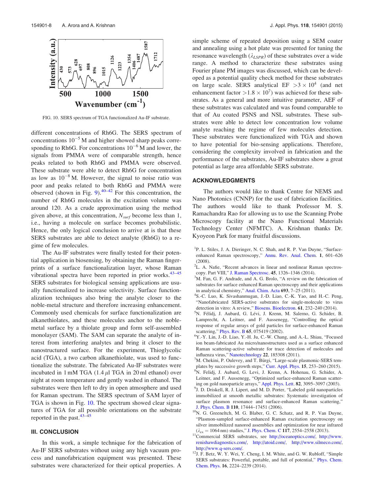

FIG. 10. SERS spectrum of TGA functionalized Au-IF substrate.

different concentrations of Rh6G. The SERS spectrum of concentrations  $10^{-5}$  M and higher showed sharp peaks corresponding to Rh6G. For concentrations  $10^{-6}$  M and lower, the signals from PMMA were of comparable strength, hence peaks related to both Rh6G and PMMA were observed. These substrate were able to detect Rh6G for concentration as low as  $10^{-8}$  M. However, the signal to noise ratio was poor and peaks related to both Rh6G and PMMA were observed (shown in Fig. 9). $40-42$  For this concentration, the number of Rh6G molecules in the excitation volume was around 120. As a crude approximation using the method given above, at this concentration,  $N_{surf}$  become less than 1, i.e., having a molecule on surface becomes probabilistic. Hence, the only logical conclusion to arrive at is that these SERS substrates are able to detect analyte (Rh6G) to a regime of few molecules.

The Au-IF substrates were finally tested for their potential application in biosensing, by obtaining the Raman fingerprints of a surface functionalization layer, whose Raman vibrational spectra have been reported in prior works. $43-45$ SERS substrates for biological sensing applications are usually functionalized to increase selectivity. Surface functionalization techniques also bring the analyte closer to the noble-metal structure and therefore increasing enhancement. Commonly used chemicals for surface functionalization are alkanethiolates, and these molecules anchor to the noblemetal surface by a thiolate group and form self-assembled monolayer (SAM). The SAM can separate the analyte of interest from interfering analytes and bring it closer to the nanostructured surface. For the experiment, Thioglycolic acid (TGA), a two carbon alkanethiolate, was used to functionalize the substrate. The fabricated Au-IF substrates were incubated in  $1 \text{ mM TGA}$  (1.4  $\mu$ l TGA in 20 ml ethanol) over night at room temperature and gently washed in ethanol. The substrates were then left to dry in open atmosphere and used for Raman spectrum. The SERS spectrum of SAM layer of TGA is shown in Fig. 10. The spectrum showed clear signatures of TGA for all possible orientations on the substrate reported in the past. $43-\overline{45}$ 

## III. CONCLUSION

In this work, a simple technique for the fabrication of Au-IF SERS substrates without using any high vacuum process and nanofabrication equipment was presented. These substrates were characterized for their optical properties. A simple scheme of repeated deposition using a SEM coater and annealing using a hot plate was presented for tuning the resonance wavelength  $(\lambda_{LSPR})$  of these substrates over a wide range. A method to characterize these substrates using Fourier plane PM images was discussed, which can be developed as a potential quality check method for these substrates on large scale. SERS analytical EF  $>3 \times 10^4$  (and net enhancement factor  $>1.8 \times 10^7$ ) was achieved for these substrates. As a general and more intuitive parameter, AEF of these substrates was calculated and was found comparable to that of Au coated PSNS and NSL substrates. These substrates were able to detect low concentration low volume analyte reaching the regime of few molecules detection. These substrates were functionalized with TGA and shown to have potential for bio-sensing applications. Therefore, considering the complexity involved in fabrication and the performance of the substrates, Au-IF substrates show a great potential as large area affordable SERS substrate.

#### ACKNOWLEDGMENTS

The authors would like to thank Centre for NEMS and Nano Photonics (CNNP) for the use of fabrication facilities. The authors would like to thank Professor M. S. Ramachandra Rao for allowing us to use the Scanning Probe Microscopy facility at the Nano Functional Materials Technology Center (NFMTC). A. Krishnan thanks Dr. Kyoyeon Park for many fruitful discussions.

- <sup>1</sup>P. L. Stiles, J. A. Dieringer, N. C. Shah, and R. P. Van Duyne, "Surfaceenhanced Raman spectroscopy," Annu. Rev. Anal. Chem. 1, 601–626 (2008).
- <sup>2</sup>L. A. Nafie, "Recent advances in linear and nonlinear Raman spectroscopy. Part VIII," J. Raman Spectrosc. 45, 1326–1346 (2014).
- <sup>3</sup>M. Fan, G. F. Andrade, and A. G. Brolo, "A review on the fabrication of substrates for surface enhanced Raman spectroscopy and their applications in analytical chemistry," Anal. Chim. Acta 693, 7–25 (2011).
- 4 S.-C. Luo, K. Sivashanmugan, J.-D. Liao, C.-K. Yao, and H.-C. Peng, "Nanofabricated SERS-active substrates for single-molecule to virus detection in vitro: A review," Biosens. Bioelectron. 61, 232–240 (2014).
- <sup>5</sup>N. Félidj, J. Aubard, G. Lévi, J. Krenn, M. Salerno, G. Schider, B. Lamprecht, A. Leitner, and F. Aussenegg, "Controlling the optical response of regular arrays of gold particles for surface-enhanced Raman scattering," Phys. Rev. B 65, 075419 (2002).
- <sup>6</sup>Y.-Y. Lin, J.-D. Liao, Y.-H. Ju, C.-W. Chang, and A.-L. Shiau, "Focused ion beam-fabricated Au micro/nanostructures used as a surface enhanced Raman scattering-active substrate for trace detection of molecules and influenza virus," Nanotechnology 22, 185308 (2011).
- ${}^{7}M$ . Chekini, P. Oulevey, and T. Bürgi, "Large-scale plasmonic-SERS templates by successive growth steps," Curr. Appl. Phys. 15, 253–260 (2015). <sup>8</sup>N. Felidj, J. Aubard, G. Levi, J. Krenn, A. Hohenau, G. Schider, A. Leitner, and F. Aussenegg, "Optimized surface-enhanced Raman scattering on gold nanoparticle arrays," Appl. Phys. Lett. 82, 3095–3097 (2003).
- <sup>9</sup>J. D. Driskell, R. J. Lipert, and M. D. Porter, "Labeled gold nanoparticles immobilized at smooth metallic substrates: Systematic investigation of surface plasmon resonance and surface-enhanced Raman scattering,' J. Phys. Chem. B 110, 17444–17451 (2006).
- <sup>10</sup>N. G. Greeneltch, M. G. Blaber, G. C. Schatz, and R. P. Van Duyne, "Plasmon-sampled surface-enhanced Raman excitation spectroscopy on silver immobilized nanorod assemblies and optimization for near infrared  $(\lambda_{ex} = 1064 \text{ nm})$  studies," J. Phys. Chem. C 117, 2554–2558 (2013).
- <sup>11</sup>Commercial SERS substrates, see http://oceanoptics.com/, http://www. renishawdiagnostics.com/, http://atoid.com/, http://www.silmeco.com/, http://www.q-sers.com/.
- $12J.$  F. Betz, W. Y. Wei, Y. Cheng, I. M. White, and G. W. Rubloff, "Simple SERS substrates: Powerful, portable, and full of potential," Phys. Chem. Chem. Phys. 16, 2224–2239 (2014).